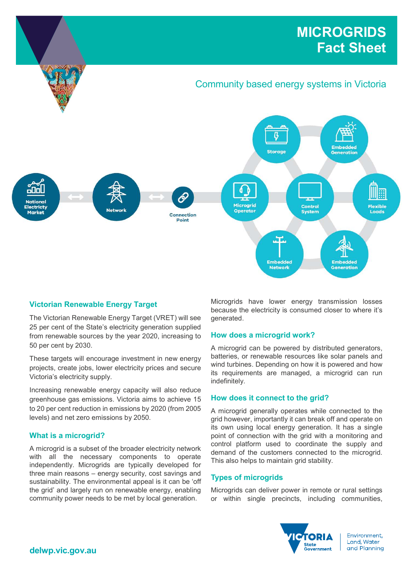# MICROGRIDS Fact Sheet



# Victorian Renewable Energy Target

The Victorian Renewable Energy Target (VRET) will see 25 per cent of the State's electricity generation supplied from renewable sources by the year 2020, increasing to 50 per cent by 2030.

These targets will encourage investment in new energy projects, create jobs, lower electricity prices and secure Victoria's electricity supply.

Increasing renewable energy capacity will also reduce greenhouse gas emissions. Victoria aims to achieve 15 to 20 per cent reduction in emissions by 2020 (from 2005 levels) and net zero emissions by 2050.

# What is a microgrid?

A microgrid is a subset of the broader electricity network with all the necessary components to operate independently. Microgrids are typically developed for three main reasons – energy security, cost savings and sustainability. The environmental appeal is it can be 'off the grid' and largely run on renewable energy, enabling community power needs to be met by local generation.

Microgrids have lower energy transmission losses because the electricity is consumed closer to where it's generated.

# How does a microgrid work?

A microgrid can be powered by distributed generators, batteries, or renewable resources like solar panels and wind turbines. Depending on how it is powered and how its requirements are managed, a microgrid can run indefinitely.

## How does it connect to the grid?

A microgrid generally operates while connected to the grid however, importantly it can break off and operate on its own using local energy generation. It has a single point of connection with the grid with a monitoring and control platform used to coordinate the supply and demand of the customers connected to the microgrid. This also helps to maintain grid stability.

# Types of microgrids

Microgrids can deliver power in remote or rural settings or within single precincts, including communities,



Environment. Land, Water and Planning